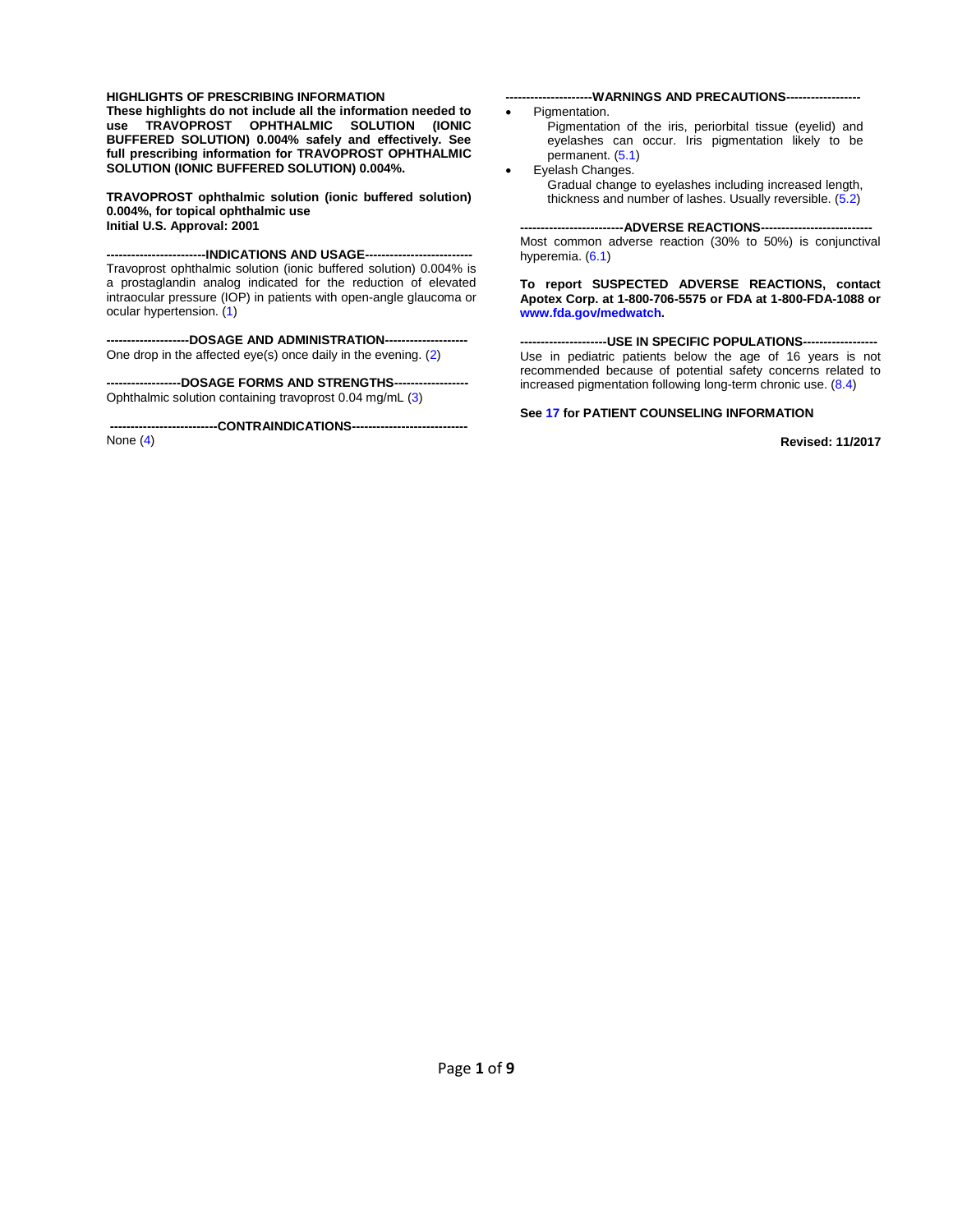#### **HIGHLIGHTS OF PRESCRIBING INFORMATION**

**These highlights do not include all the information needed to use TRAVOPROST OPHTHALMIC SOLUTION (IONIC BUFFERED SOLUTION) 0.004% safely and effectively. See full prescribing information for TRAVOPROST OPHTHALMIC SOLUTION (IONIC BUFFERED SOLUTION) 0.004%.** 

**TRAVOPROST ophthalmic solution (ionic buffered solution) 0.004%, for topical ophthalmic use Initial U.S. Approval: 2001**

**------------------------INDICATIONS AND USAGE--------------------------** Travoprost ophthalmic solution (ionic buffered solution) 0.004% is a prostaglandin analog indicated for the reduction of elevated intraocular pressure (IOP) in patients with open-angle glaucoma or ocular hypertension. [\(1\)](#page-2-0)

**--------------------DOSAGE AND ADMINISTRATION--------------------** One drop in the affected eye(s) once daily in the evening. [\(2\)](#page-2-1)

**------------------DOSAGE FORMS AND STRENGTHS------------------** Ophthalmic solution containing travoprost 0.04 mg/mL [\(3\)](#page-2-2)

**--------------------------CONTRAINDICATIONS----------------------------**

None [\(4\)](#page-2-3)

#### --WARNINGS AND PRECAUTIONS---

- Pigmentation.
	- Pigmentation of the iris, periorbital tissue (eyelid) and eyelashes can occur. Iris pigmentation likely to be permanent. [\(5.1\)](#page-2-4)
	- Eyelash Changes. Gradual change to eyelashes including increased length, thickness and number of lashes. Usually reversible. [\(5.2\)](#page-2-5)

**-------------------------ADVERSE REACTIONS---------------------------** Most common adverse reaction (30% to 50%) is conjunctival hyperemia. [\(6.1\)](#page-3-0)

**To report SUSPECTED ADVERSE REACTIONS, contact Apotex Corp. at 1-800-706-5575 or FDA at 1-800-FDA-1088 or [www.fda.gov/medwatch.](http://www.fda.gov/medwatch)**

**---------------------USE IN SPECIFIC POPULATIONS------------------** Use in pediatric patients below the age of 16 years is not recommended because of potential safety concerns related to increased pigmentation following long-term chronic use. [\(8.4\)](#page-4-0)

#### **See [17](#page-7-0) for PATIENT COUNSELING INFORMATION**

**Revised: 11/2017**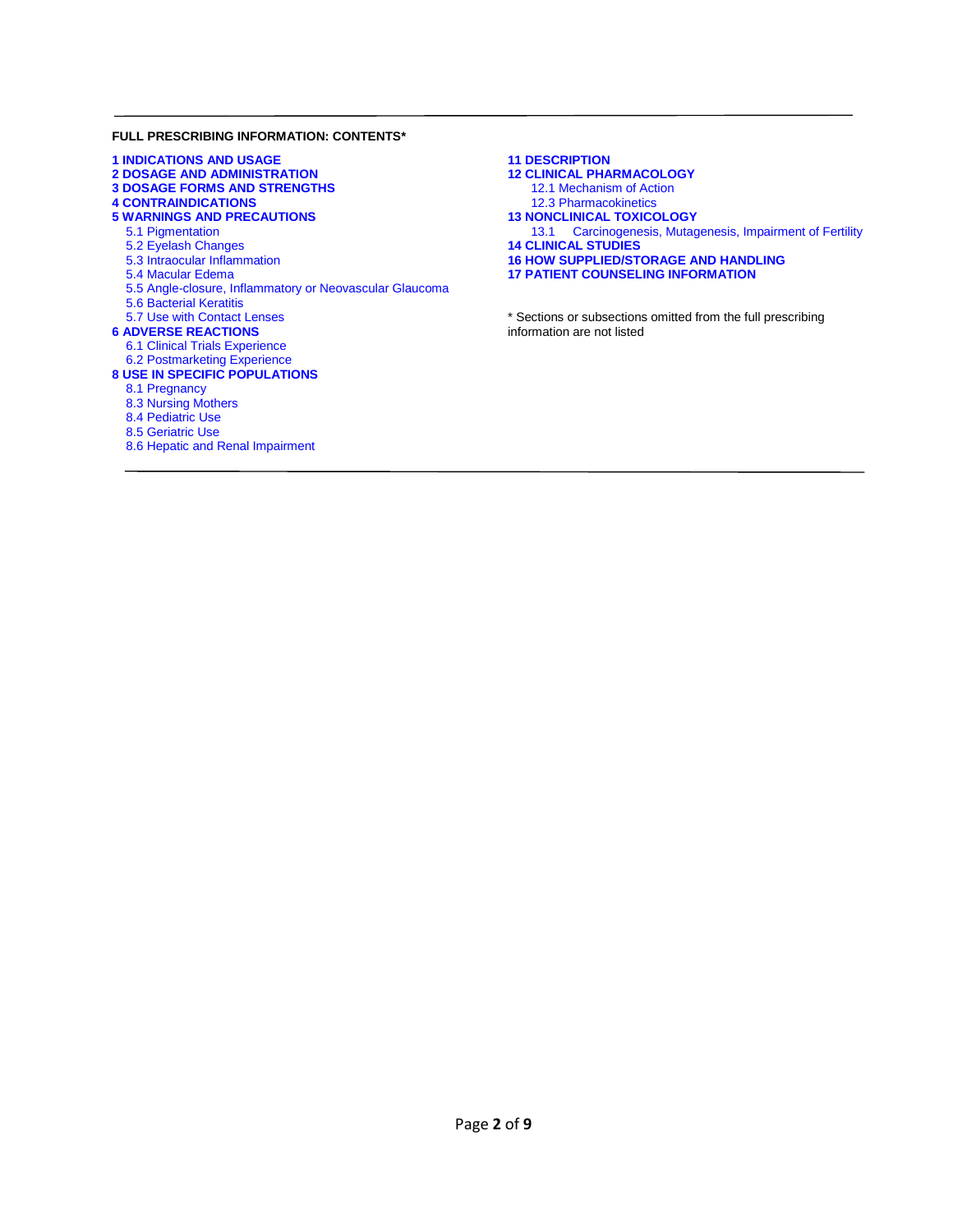#### **FULL PRESCRIBING INFORMATION: CONTENTS\***

| <b>1 INDICATIONS AND USAGE</b>                          |
|---------------------------------------------------------|
| <b>2 DOSAGE AND ADMINISTRATION</b>                      |
| <b>3 DOSAGE FORMS AND STRENGTHS</b>                     |
| <b>4 CONTRAINDICATIONS</b>                              |
| <b>5 WARNINGS AND PRECAUTIONS</b>                       |
| 5.1 Pigmentation                                        |
| 5.2 Eyelash Changes                                     |
| 5.3 Intraocular Inflammation                            |
| 5.4 Macular Edema                                       |
| 5.5 Angle-closure, Inflammatory or Neovascular Glaucoma |
| <b>5.6 Bacterial Keratitis</b>                          |
| 5.7 Use with Contact Lenses                             |
| <b>6 ADVERSE REACTIONS</b>                              |
| 6.1 Clinical Trials Experience                          |
| 6.2 Postmarketing Experience                            |
| <b>8 USE IN SPECIFIC POPULATIONS</b>                    |
| 8.1 Pregnancy                                           |
| 8.3 Nursing Mothers                                     |
| 8.4 Pediatric Use                                       |
| 8.5 Geriatric Use                                       |
| 8.6 Hepatic and Renal Impairment                        |
|                                                         |

| <b>11 DESCRIPTION</b>                                     |
|-----------------------------------------------------------|
| <b>12 CLINICAL PHARMACOLOGY</b>                           |
| 12.1 Mechanism of Action                                  |
| 12.3 Pharmacokinetics                                     |
| <b>13 NONCLINICAL TOXICOLOGY</b>                          |
| 13.1 Carcinogenesis, Mutagenesis, Impairment of Fertility |
| <b>14 CLINICAL STUDIES</b>                                |
| <b>16 HOW SUPPLIED/STORAGE AND HANDLING</b>               |
| <b>17 PATIENT COUNSELING INFORMATION</b>                  |

\* Sections or subsections omitted from the full prescribing information are not listed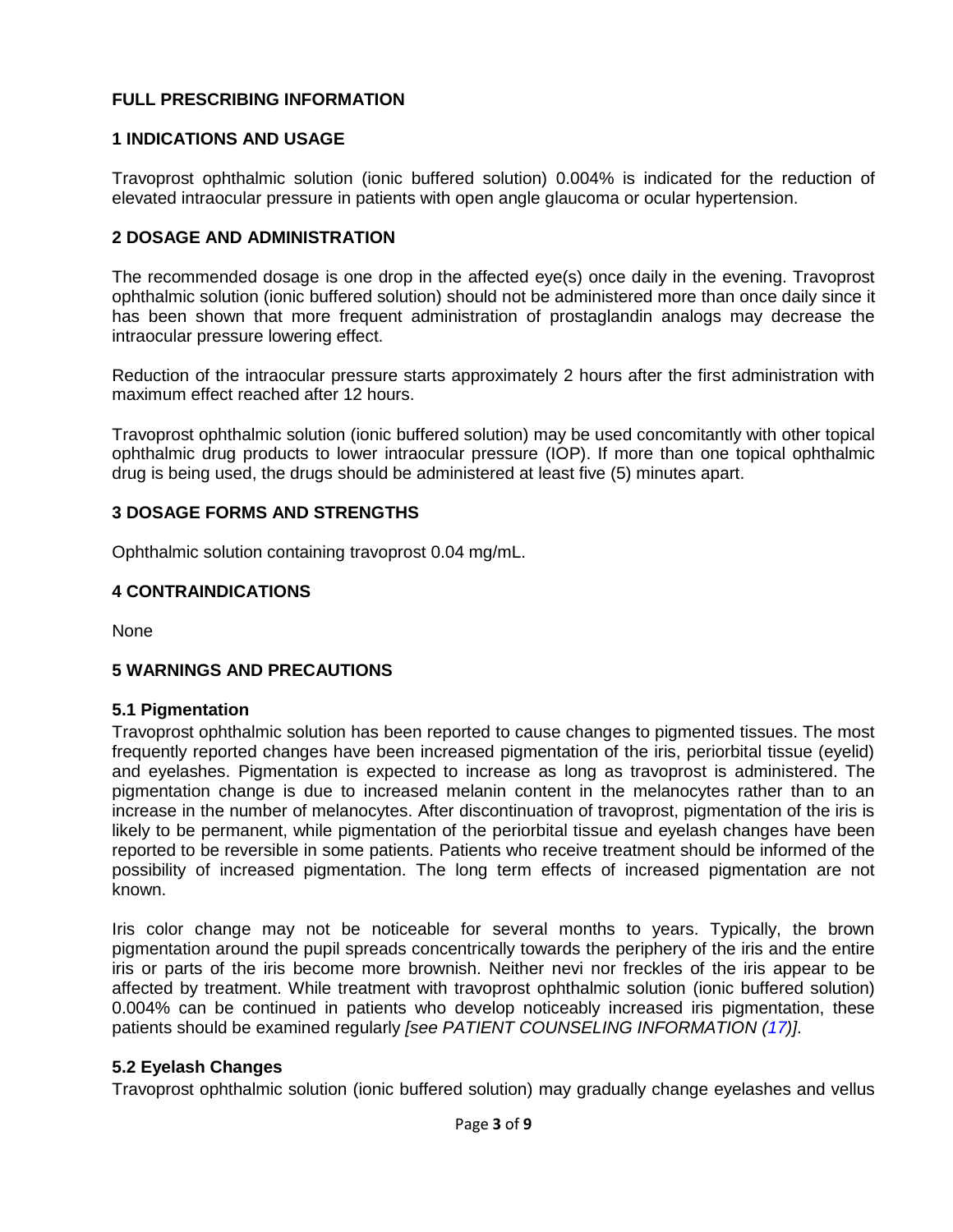## **FULL PRESCRIBING INFORMATION**

## <span id="page-2-6"></span><span id="page-2-0"></span>**1 INDICATIONS AND USAGE**

Travoprost ophthalmic solution (ionic buffered solution) 0.004% is indicated for the reduction of elevated intraocular pressure in patients with open angle glaucoma or ocular hypertension.

# <span id="page-2-7"></span><span id="page-2-1"></span>**2 DOSAGE AND ADMINISTRATION**

The recommended dosage is one drop in the affected eye(s) once daily in the evening. Travoprost ophthalmic solution (ionic buffered solution) should not be administered more than once daily since it has been shown that more frequent administration of prostaglandin analogs may decrease the intraocular pressure lowering effect.

Reduction of the intraocular pressure starts approximately 2 hours after the first administration with maximum effect reached after 12 hours.

Travoprost ophthalmic solution (ionic buffered solution) may be used concomitantly with other topical ophthalmic drug products to lower intraocular pressure (IOP). If more than one topical ophthalmic drug is being used, the drugs should be administered at least five (5) minutes apart.

# <span id="page-2-8"></span><span id="page-2-2"></span>**3 DOSAGE FORMS AND STRENGTHS**

Ophthalmic solution containing travoprost 0.04 mg/mL.

## <span id="page-2-9"></span><span id="page-2-3"></span>**4 CONTRAINDICATIONS**

None

## <span id="page-2-10"></span>**5 WARNINGS AND PRECAUTIONS**

## <span id="page-2-11"></span><span id="page-2-4"></span>**5.1 Pigmentation**

Travoprost ophthalmic solution has been reported to cause changes to pigmented tissues. The most frequently reported changes have been increased pigmentation of the iris, periorbital tissue (eyelid) and eyelashes. Pigmentation is expected to increase as long as travoprost is administered. The pigmentation change is due to increased melanin content in the melanocytes rather than to an increase in the number of melanocytes. After discontinuation of travoprost, pigmentation of the iris is likely to be permanent, while pigmentation of the periorbital tissue and eyelash changes have been reported to be reversible in some patients. Patients who receive treatment should be informed of the possibility of increased pigmentation. The long term effects of increased pigmentation are not known.

Iris color change may not be noticeable for several months to years. Typically, the brown pigmentation around the pupil spreads concentrically towards the periphery of the iris and the entire iris or parts of the iris become more brownish. Neither nevi nor freckles of the iris appear to be affected by treatment. While treatment with travoprost ophthalmic solution (ionic buffered solution) 0.004% can be continued in patients who develop noticeably increased iris pigmentation, these patients should be examined regularly *[see PATIENT COUNSELING INFORMATION [\(17\)](#page-7-0)]*.

## <span id="page-2-12"></span><span id="page-2-5"></span>**5.2 Eyelash Changes**

Travoprost ophthalmic solution (ionic buffered solution) may gradually change eyelashes and vellus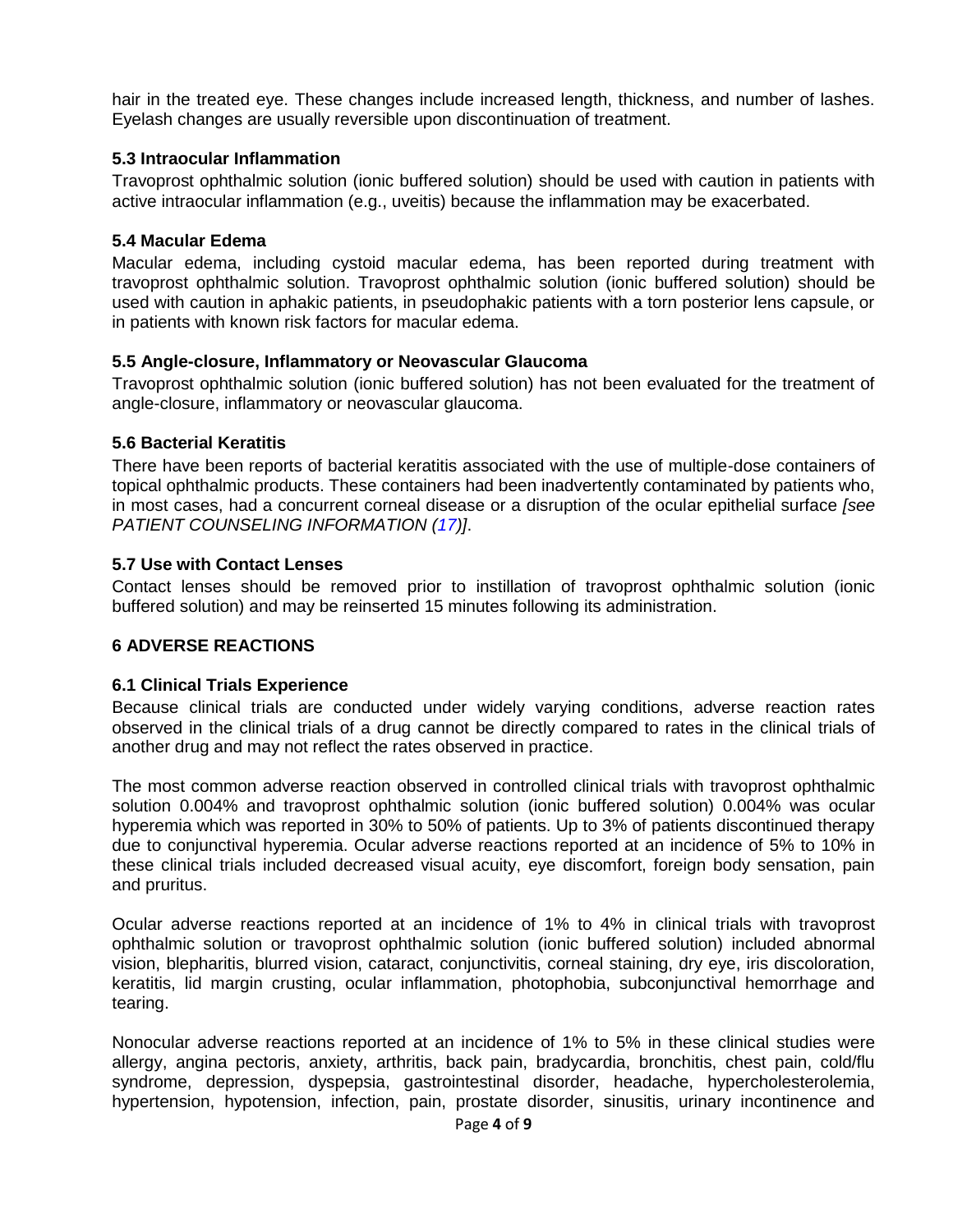hair in the treated eye. These changes include increased length, thickness, and number of lashes. Eyelash changes are usually reversible upon discontinuation of treatment.

# <span id="page-3-1"></span>**5.3 Intraocular Inflammation**

Travoprost ophthalmic solution (ionic buffered solution) should be used with caution in patients with active intraocular inflammation (e.g., uveitis) because the inflammation may be exacerbated.

# <span id="page-3-2"></span>**5.4 Macular Edema**

Macular edema, including cystoid macular edema, has been reported during treatment with travoprost ophthalmic solution. Travoprost ophthalmic solution (ionic buffered solution) should be used with caution in aphakic patients, in pseudophakic patients with a torn posterior lens capsule, or in patients with known risk factors for macular edema.

## <span id="page-3-3"></span>**5.5 Angle-closure, Inflammatory or Neovascular Glaucoma**

Travoprost ophthalmic solution (ionic buffered solution) has not been evaluated for the treatment of angle-closure, inflammatory or neovascular glaucoma.

## <span id="page-3-4"></span>**5.6 Bacterial Keratitis**

There have been reports of bacterial keratitis associated with the use of multiple-dose containers of topical ophthalmic products. These containers had been inadvertently contaminated by patients who, in most cases, had a concurrent corneal disease or a disruption of the ocular epithelial surface *[see PATIENT COUNSELING INFORMATION [\(17\)](#page-7-0)]*.

## <span id="page-3-5"></span>**5.7 Use with Contact Lenses**

Contact lenses should be removed prior to instillation of travoprost ophthalmic solution (ionic buffered solution) and may be reinserted 15 minutes following its administration.

# <span id="page-3-6"></span>**6 ADVERSE REACTIONS**

## <span id="page-3-0"></span>**6.1 Clinical Trials Experience**

Because clinical trials are conducted under widely varying conditions, adverse reaction rates observed in the clinical trials of a drug cannot be directly compared to rates in the clinical trials of another drug and may not reflect the rates observed in practice.

The most common adverse reaction observed in controlled clinical trials with travoprost ophthalmic solution 0.004% and travoprost ophthalmic solution (ionic buffered solution) 0.004% was ocular hyperemia which was reported in 30% to 50% of patients. Up to 3% of patients discontinued therapy due to conjunctival hyperemia. Ocular adverse reactions reported at an incidence of 5% to 10% in these clinical trials included decreased visual acuity, eye discomfort, foreign body sensation, pain and pruritus.

Ocular adverse reactions reported at an incidence of 1% to 4% in clinical trials with travoprost ophthalmic solution or travoprost ophthalmic solution (ionic buffered solution) included abnormal vision, blepharitis, blurred vision, cataract, conjunctivitis, corneal staining, dry eye, iris discoloration, keratitis, lid margin crusting, ocular inflammation, photophobia, subconjunctival hemorrhage and tearing.

Nonocular adverse reactions reported at an incidence of 1% to 5% in these clinical studies were allergy, angina pectoris, anxiety, arthritis, back pain, bradycardia, bronchitis, chest pain, cold/flu syndrome, depression, dyspepsia, gastrointestinal disorder, headache, hypercholesterolemia, hypertension, hypotension, infection, pain, prostate disorder, sinusitis, urinary incontinence and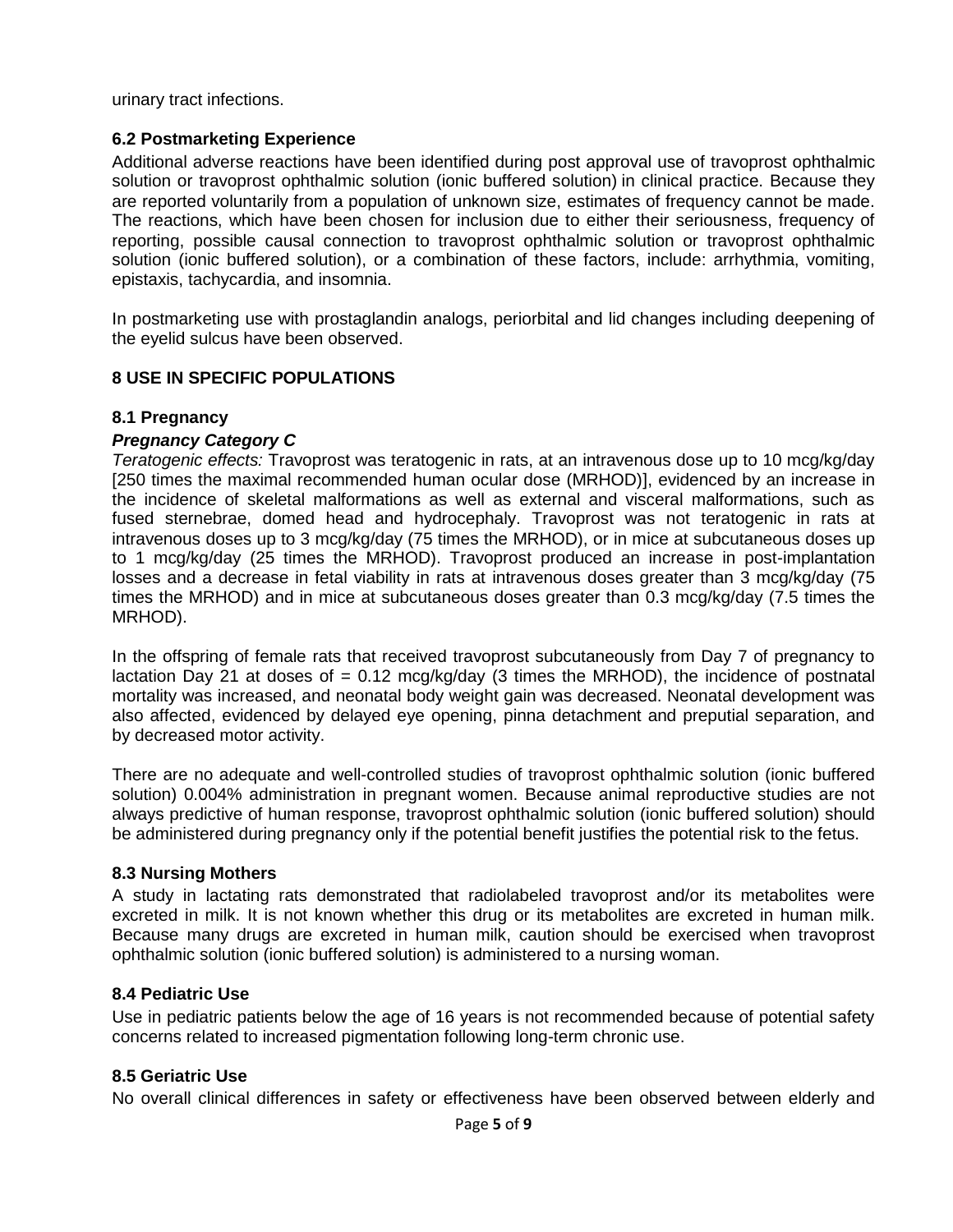urinary tract infections.

# <span id="page-4-1"></span>**6.2 Postmarketing Experience**

Additional adverse reactions have been identified during post approval use of travoprost ophthalmic solution or travoprost ophthalmic solution (ionic buffered solution) in clinical practice. Because they are reported voluntarily from a population of unknown size, estimates of frequency cannot be made. The reactions, which have been chosen for inclusion due to either their seriousness, frequency of reporting, possible causal connection to travoprost ophthalmic solution or travoprost ophthalmic solution (ionic buffered solution), or a combination of these factors, include: arrhythmia, vomiting, epistaxis, tachycardia, and insomnia.

In postmarketing use with prostaglandin analogs, periorbital and lid changes including deepening of the eyelid sulcus have been observed.

# <span id="page-4-2"></span>**8 USE IN SPECIFIC POPULATIONS**

## <span id="page-4-3"></span>**8.1 Pregnancy**

## *Pregnancy Category C*

*Teratogenic effects:* Travoprost was teratogenic in rats, at an intravenous dose up to 10 mcg/kg/day [250 times the maximal recommended human ocular dose (MRHOD)], evidenced by an increase in the incidence of skeletal malformations as well as external and visceral malformations, such as fused sternebrae, domed head and hydrocephaly. Travoprost was not teratogenic in rats at intravenous doses up to 3 mcg/kg/day (75 times the MRHOD), or in mice at subcutaneous doses up to 1 mcg/kg/day (25 times the MRHOD). Travoprost produced an increase in post-implantation losses and a decrease in fetal viability in rats at intravenous doses greater than 3 mcg/kg/day (75 times the MRHOD) and in mice at subcutaneous doses greater than 0.3 mcg/kg/day (7.5 times the MRHOD).

In the offspring of female rats that received travoprost subcutaneously from Day 7 of pregnancy to lactation Day 21 at doses of  $= 0.12$  mcg/kg/day (3 times the MRHOD), the incidence of postnatal mortality was increased, and neonatal body weight gain was decreased. Neonatal development was also affected, evidenced by delayed eye opening, pinna detachment and preputial separation, and by decreased motor activity.

There are no adequate and well-controlled studies of travoprost ophthalmic solution (ionic buffered solution) 0.004% administration in pregnant women. Because animal reproductive studies are not always predictive of human response, travoprost ophthalmic solution (ionic buffered solution) should be administered during pregnancy only if the potential benefit justifies the potential risk to the fetus.

#### <span id="page-4-4"></span>**8.3 Nursing Mothers**

A study in lactating rats demonstrated that radiolabeled travoprost and/or its metabolites were excreted in milk. It is not known whether this drug or its metabolites are excreted in human milk. Because many drugs are excreted in human milk, caution should be exercised when travoprost ophthalmic solution (ionic buffered solution) is administered to a nursing woman.

## <span id="page-4-5"></span><span id="page-4-0"></span>**8.4 Pediatric Use**

Use in pediatric patients below the age of 16 years is not recommended because of potential safety concerns related to increased pigmentation following long-term chronic use.

#### <span id="page-4-6"></span>**8.5 Geriatric Use**

No overall clinical differences in safety or effectiveness have been observed between elderly and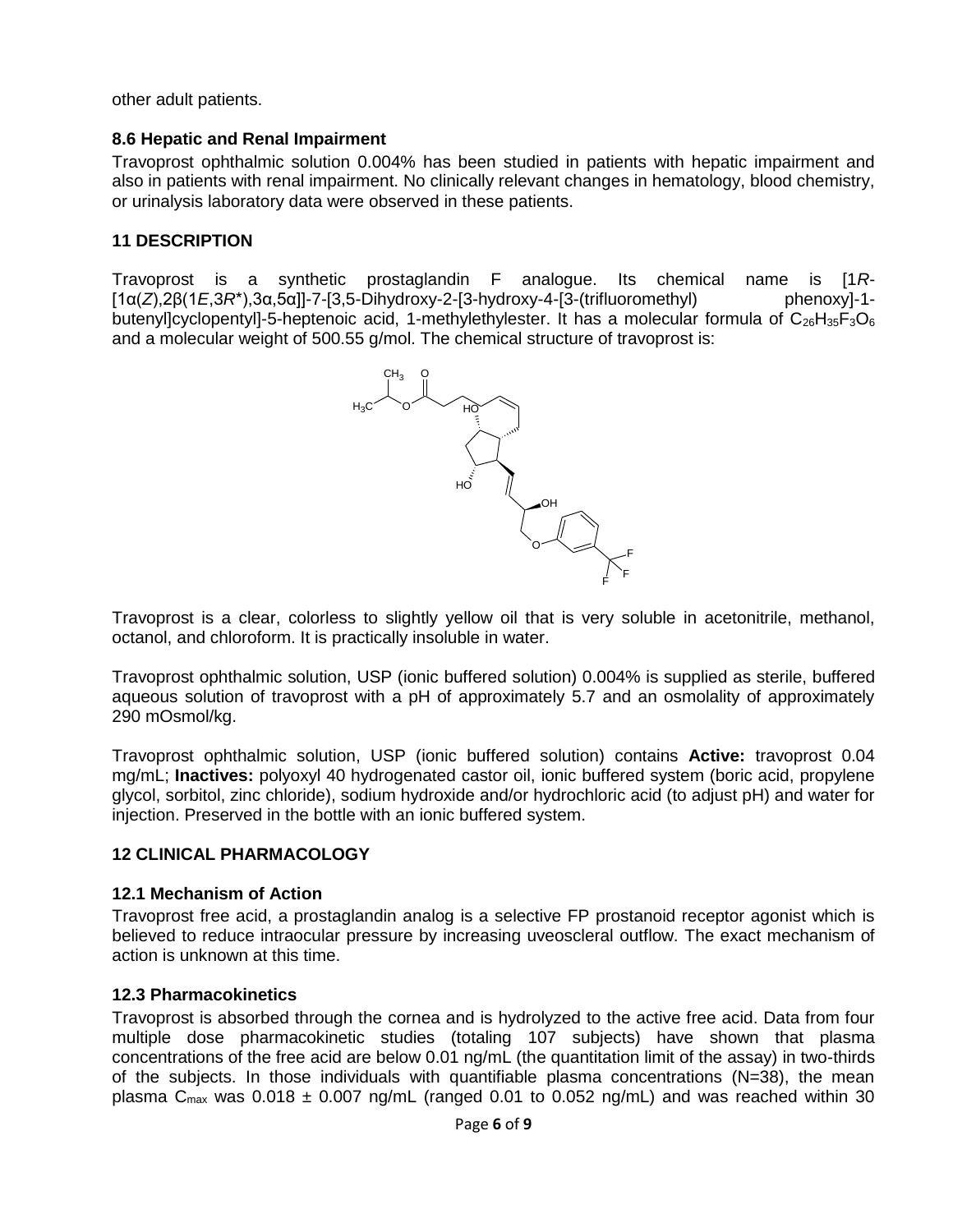other adult patients.

# <span id="page-5-0"></span>**8.6 Hepatic and Renal Impairment**

Travoprost ophthalmic solution 0.004% has been studied in patients with hepatic impairment and also in patients with renal impairment. No clinically relevant changes in hematology, blood chemistry, or urinalysis laboratory data were observed in these patients.

# <span id="page-5-1"></span>**11 DESCRIPTION**

Travoprost is a synthetic prostaglandin F analogue. Its chemical name is [1*R*- [1α(*Z*),2β(1*E*,3*R*\*),3α,5α]]-7-[3,5-Dihydroxy-2-[3-hydroxy-4-[3-(trifluoromethyl) phenoxy]-1 butenyl]cyclopentyl]-5-heptenoic acid, 1-methylethylester. It has a molecular formula of  $C_{26}H_{35}F_3O_6$ and a molecular weight of 500.55 g/mol. The chemical structure of travoprost is:



Travoprost is a clear, colorless to slightly yellow oil that is very soluble in acetonitrile, methanol, octanol, and chloroform. It is practically insoluble in water.

Travoprost ophthalmic solution, USP (ionic buffered solution) 0.004% is supplied as sterile, buffered aqueous solution of travoprost with a pH of approximately 5.7 and an osmolality of approximately 290 mOsmol/kg.

Travoprost ophthalmic solution, USP (ionic buffered solution) contains **Active:** travoprost 0.04 mg/mL; **Inactives:** polyoxyl 40 hydrogenated castor oil, ionic buffered system (boric acid, propylene glycol, sorbitol, zinc chloride), sodium hydroxide and/or hydrochloric acid (to adjust pH) and water for injection. Preserved in the bottle with an ionic buffered system.

## <span id="page-5-2"></span>**12 CLINICAL PHARMACOLOGY**

## <span id="page-5-3"></span>**12.1 Mechanism of Action**

Travoprost free acid, a prostaglandin analog is a selective FP prostanoid receptor agonist which is believed to reduce intraocular pressure by increasing uveoscleral outflow. The exact mechanism of action is unknown at this time.

## <span id="page-5-4"></span>**12.3 Pharmacokinetics**

Travoprost is absorbed through the cornea and is hydrolyzed to the active free acid. Data from four multiple dose pharmacokinetic studies (totaling 107 subjects) have shown that plasma concentrations of the free acid are below 0.01 ng/mL (the quantitation limit of the assay) in two-thirds of the subjects. In those individuals with quantifiable plasma concentrations (N=38), the mean plasma  $C_{\text{max}}$  was 0.018  $\pm$  0.007 ng/mL (ranged 0.01 to 0.052 ng/mL) and was reached within 30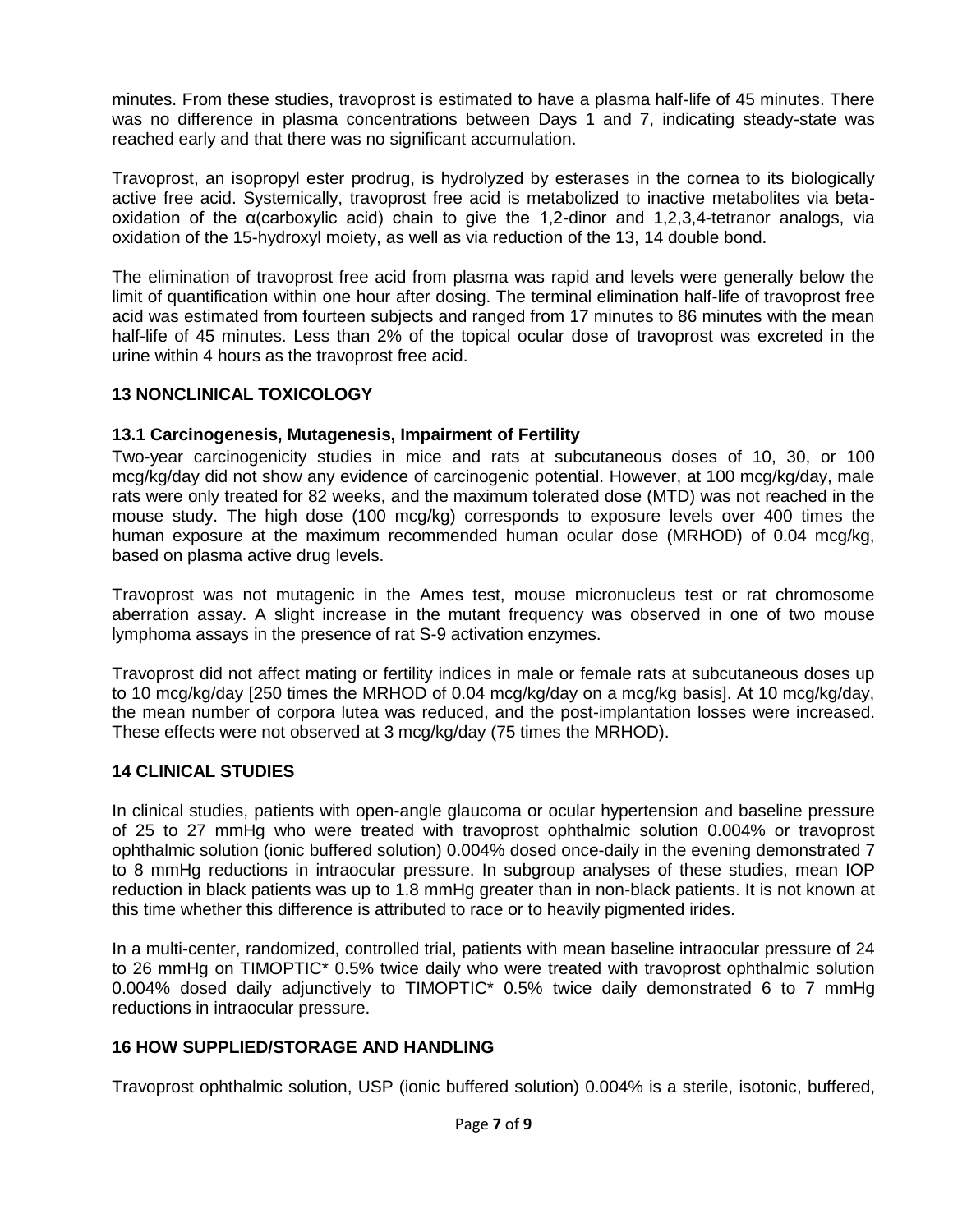minutes. From these studies, travoprost is estimated to have a plasma half-life of 45 minutes. There was no difference in plasma concentrations between Days 1 and 7, indicating steady-state was reached early and that there was no significant accumulation.

Travoprost, an isopropyl ester prodrug, is hydrolyzed by esterases in the cornea to its biologically active free acid. Systemically, travoprost free acid is metabolized to inactive metabolites via betaoxidation of the α(carboxylic acid) chain to give the 1,2-dinor and 1,2,3,4-tetranor analogs, via oxidation of the 15-hydroxyl moiety, as well as via reduction of the 13, 14 double bond.

The elimination of travoprost free acid from plasma was rapid and levels were generally below the limit of quantification within one hour after dosing. The terminal elimination half-life of travoprost free acid was estimated from fourteen subjects and ranged from 17 minutes to 86 minutes with the mean half-life of 45 minutes. Less than 2% of the topical ocular dose of travoprost was excreted in the urine within 4 hours as the travoprost free acid.

## <span id="page-6-0"></span>**13 NONCLINICAL TOXICOLOGY**

## <span id="page-6-1"></span>**13.1 Carcinogenesis, Mutagenesis, Impairment of Fertility**

Two-year carcinogenicity studies in mice and rats at subcutaneous doses of 10, 30, or 100 mcg/kg/day did not show any evidence of carcinogenic potential. However, at 100 mcg/kg/day, male rats were only treated for 82 weeks, and the maximum tolerated dose (MTD) was not reached in the mouse study. The high dose (100 mcg/kg) corresponds to exposure levels over 400 times the human exposure at the maximum recommended human ocular dose (MRHOD) of 0.04 mcg/kg, based on plasma active drug levels.

Travoprost was not mutagenic in the Ames test, mouse micronucleus test or rat chromosome aberration assay. A slight increase in the mutant frequency was observed in one of two mouse lymphoma assays in the presence of rat S-9 activation enzymes.

Travoprost did not affect mating or fertility indices in male or female rats at subcutaneous doses up to 10 mcg/kg/day [250 times the MRHOD of 0.04 mcg/kg/day on a mcg/kg basis]. At 10 mcg/kg/day, the mean number of corpora lutea was reduced, and the post-implantation losses were increased. These effects were not observed at 3 mcg/kg/day (75 times the MRHOD).

## <span id="page-6-2"></span>**14 CLINICAL STUDIES**

In clinical studies, patients with open-angle glaucoma or ocular hypertension and baseline pressure of 25 to 27 mmHg who were treated with travoprost ophthalmic solution 0.004% or travoprost ophthalmic solution (ionic buffered solution) 0.004% dosed once-daily in the evening demonstrated 7 to 8 mmHg reductions in intraocular pressure. In subgroup analyses of these studies, mean IOP reduction in black patients was up to 1.8 mmHg greater than in non-black patients. It is not known at this time whether this difference is attributed to race or to heavily pigmented irides.

In a multi-center, randomized, controlled trial, patients with mean baseline intraocular pressure of 24 to 26 mmHg on TIMOPTIC\* 0.5% twice daily who were treated with travoprost ophthalmic solution 0.004% dosed daily adjunctively to TIMOPTIC\* 0.5% twice daily demonstrated 6 to 7 mmHg reductions in intraocular pressure.

## <span id="page-6-3"></span>**16 HOW SUPPLIED/STORAGE AND HANDLING**

Travoprost ophthalmic solution, USP (ionic buffered solution) 0.004% is a sterile, isotonic, buffered,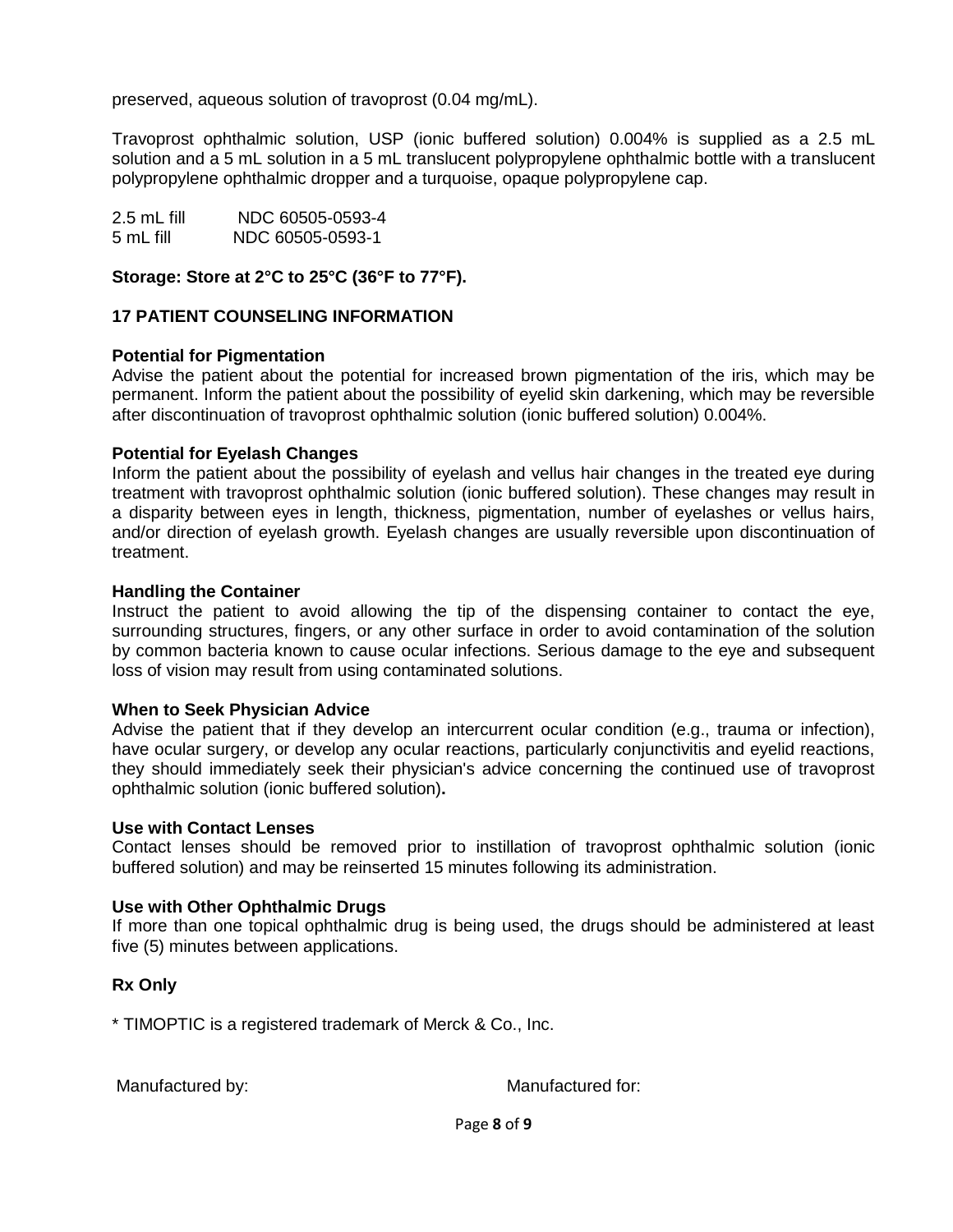preserved, aqueous solution of travoprost (0.04 mg/mL).

Travoprost ophthalmic solution, USP (ionic buffered solution) 0.004% is supplied as a 2.5 mL solution and a 5 mL solution in a 5 mL translucent polypropylene ophthalmic bottle with a translucent polypropylene ophthalmic dropper and a turquoise, opaque polypropylene cap.

2.5 mL fill NDC 60505-0593-4 5 mL fill NDC 60505-0593-1

#### **Storage: Store at 2°C to 25°C (36°F to 77°F).**

#### <span id="page-7-1"></span><span id="page-7-0"></span>**17 PATIENT COUNSELING INFORMATION**

#### **Potential for Pigmentation**

Advise the patient about the potential for increased brown pigmentation of the iris, which may be permanent. Inform the patient about the possibility of eyelid skin darkening, which may be reversible after discontinuation of travoprost ophthalmic solution (ionic buffered solution) 0.004%.

#### **Potential for Eyelash Changes**

Inform the patient about the possibility of eyelash and vellus hair changes in the treated eye during treatment with travoprost ophthalmic solution (ionic buffered solution). These changes may result in a disparity between eyes in length, thickness, pigmentation, number of eyelashes or vellus hairs, and/or direction of eyelash growth. Eyelash changes are usually reversible upon discontinuation of treatment.

#### **Handling the Container**

Instruct the patient to avoid allowing the tip of the dispensing container to contact the eye, surrounding structures, fingers, or any other surface in order to avoid contamination of the solution by common bacteria known to cause ocular infections. Serious damage to the eye and subsequent loss of vision may result from using contaminated solutions.

#### **When to Seek Physician Advice**

Advise the patient that if they develop an intercurrent ocular condition (e.g., trauma or infection), have ocular surgery, or develop any ocular reactions, particularly conjunctivitis and eyelid reactions, they should immediately seek their physician's advice concerning the continued use of travoprost ophthalmic solution (ionic buffered solution)**.**

#### **Use with Contact Lenses**

Contact lenses should be removed prior to instillation of travoprost ophthalmic solution (ionic buffered solution) and may be reinserted 15 minutes following its administration.

#### **Use with Other Ophthalmic Drugs**

If more than one topical ophthalmic drug is being used, the drugs should be administered at least five (5) minutes between applications.

## **Rx Only**

\* TIMOPTIC is a registered trademark of Merck & Co., Inc.

Manufactured by: Manufactured for: